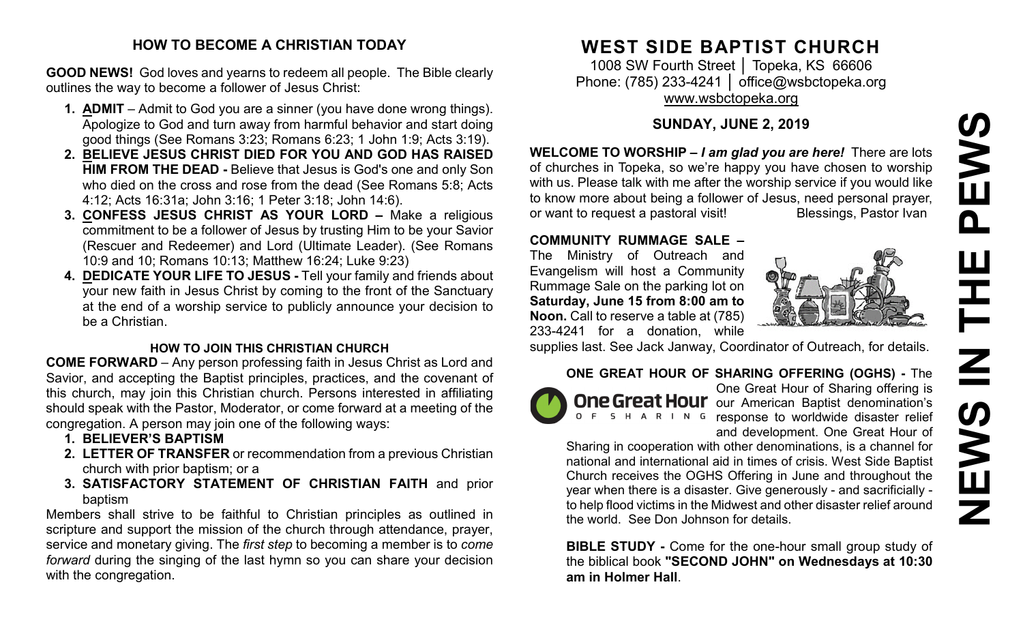# **NEWS IN THE PEWS**EWS  $\overline{\mathbf{a}}$ Ē NS IN Z

#### **HOW TO BECOME A CHRISTIAN TODAY**

**GOOD NEWS!** God loves and yearns to redeem all people. The Bible clearly outlines the way to become a follower of Jesus Christ:

- **1. ADMIT** Admit to God you are a sinner (you have done wrong things). Apologize to God and turn away from harmful behavior and start doing good things (See Romans 3:23; Romans 6:23; 1 John 1:9; Acts 3:19).
- **2. BELIEVE JESUS CHRIST DIED FOR YOU AND GOD HAS RAISED HIM FROM THE DEAD -** Believe that Jesus is God's one and only Son who died on the cross and rose from the dead (See Romans 5:8; Acts 4:12; Acts 16:31a; John 3:16; 1 Peter 3:18; John 14:6).
- **3. CONFESS JESUS CHRIST AS YOUR LORD –** Make a religious commitment to be a follower of Jesus by trusting Him to be your Savior (Rescuer and Redeemer) and Lord (Ultimate Leader). (See Romans 10:9 and 10; Romans 10:13; Matthew 16:24; Luke 9:23)
- **4. DEDICATE YOUR LIFE TO JESUS -** Tell your family and friends about your new faith in Jesus Christ by coming to the front of the Sanctuary at the end of a worship service to publicly announce your decision to be a Christian.

#### **HOW TO JOIN THIS CHRISTIAN CHURCH**

**COME FORWARD** – Any person professing faith in Jesus Christ as Lord and Savior, and accepting the Baptist principles, practices, and the covenant of this church, may join this Christian church. Persons interested in affiliating should speak with the Pastor, Moderator, or come forward at a meeting of the congregation. A person may join one of the following ways:

- **1. BELIEVER'S BAPTISM**
- **2. LETTER OF TRANSFER** or recommendation from a previous Christian church with prior baptism; or a
- **3. SATISFACTORY STATEMENT OF CHRISTIAN FAITH** and prior baptism

Members shall strive to be faithful to Christian principles as outlined in scripture and support the mission of the church through attendance, prayer, service and monetary giving. The *first step* to becoming a member is to *come forward* during the singing of the last hymn so you can share your decision with the congregation.

# **WEST SIDE BAPTIST CHURCH**

1008 SW Fourth Street | Topeka, KS 66606 Phone: (785) 233-4241 │ [office@wsbctopeka.org](mailto:office@wsbctopeka.org) [www.wsbctopeka.org](http://www.wsbctopeka.org/)

# **SUNDAY, JUNE 2, 2019**

**WELCOME TO WORSHIP –** *I am glad you are here!* There are lots of churches in Topeka, so we're happy you have chosen to worship with us. Please talk with me after the worship service if you would like to know more about being a follower of Jesus, need personal prayer,<br>or want to request a pastoral visit!<br>Blessings, Pastor Ivan or want to request a pastoral visit!

#### **COMMUNITY RUMMAGE SALE –**

The Ministry of Outreach and Evangelism will host a Community Rummage Sale on the parking lot on **Saturday, June 15 from 8:00 am to Noon.** Call to reserve a table at (785) 233-4241 for a donation, while



supplies last. See Jack Janway, Coordinator of Outreach, for details.

# **ONE GREAT HOUR OF SHARING OFFERING (OGHS) -** The



One Great Hour of Sharing offering is **One Great Hour** our American Baptist denomination's response to worldwide disaster relief and development. One Great Hour of

Sharing in cooperation with other denominations, is a channel for national and international aid in times of crisis. West Side Baptist Church receives the OGHS Offering in June and throughout the year when there is a disaster. Give generously - and sacrificially to help flood victims in the Midwest and other disaster relief around the world. See Don Johnson for details.

**BIBLE STUDY -** Come for the one-hour small group study of the biblical book **"SECOND JOHN" on Wednesdays at 10:30 am in Holmer Hall**.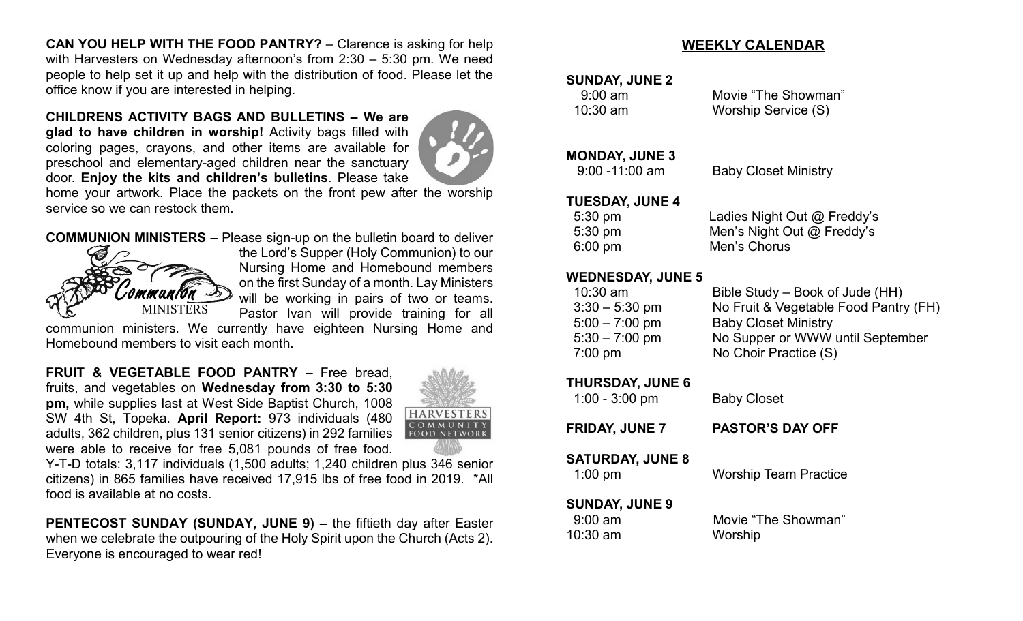**CAN YOU HELP WITH THE FOOD PANTRY?** – Clarence is asking for help with Harvesters on Wednesday afternoon's from 2:30 – 5:30 pm. We need people to help set it up and help with the distribution of food. Please let the office know if you are interested in helping.

**CHILDRENS ACTIVITY BAGS AND BULLETINS – We are** 

**glad to have children in worship!** Activity bags filled with coloring pages, crayons, and other items are available for preschool and elementary-aged children near the sanctuary door. **Enjoy the kits and children's bulletins**. Please take



home your artwork. Place the packets on the front pew after the worship service so we can restock them.

#### **COMMUNION MINISTERS –** Please sign-up on the bulletin board to deliver



the Lord's Supper (Holy Communion) to our Nursing Home and Homebound members on the first Sunday of a month. Lay Ministers will be working in pairs of two or teams. Pastor Ivan will provide training for all

communion ministers. We currently have eighteen Nursing Home and Homebound members to visit each month.

**FRUIT & VEGETABLE FOOD PANTRY –** Free bread, fruits, and vegetables on **Wednesday from 3:30 to 5:30 pm,** while supplies last at West Side Baptist Church, 1008 SW 4th St, Topeka. **April Report:** 973 individuals (480 adults, 362 children, plus 131 senior citizens) in 292 families were able to receive for free 5,081 pounds of free food.



Y-T-D totals: 3,117 individuals (1,500 adults; 1,240 children plus 346 senior citizens) in 865 families have received 17,915 lbs of free food in 2019. \*All food is available at no costs.

**PENTECOST SUNDAY (SUNDAY, JUNE 9) –** the fiftieth day after Easter when we celebrate the outpouring of the Holy Spirit upon the Church (Acts 2). Everyone is encouraged to wear red!

# **WEEKLY CALENDAR**

#### **SUNDAY, JUNE 2**

 9:00 am Movie "The Showman" 10:30 am Worship Service (S)

#### **MONDAY, JUNE 3**

9:00 -11:00 am Baby Closet Ministry

#### **TUESDAY, JUNE 4**

| $5:30 \text{ pm}$ | Ladies Night Out @ Freddy's  |
|-------------------|------------------------------|
| $5:30 \text{ pm}$ | Men's Night Out $@$ Freddy's |
| $6:00 \text{ pm}$ | Men's Chorus                 |

#### **WEDNESDAY, JUNE 5**

| $10:30$ am       | Bible Study – Book of Jude (HH)       |
|------------------|---------------------------------------|
| $3:30 - 5:30$ pm | No Fruit & Vegetable Food Pantry (FH) |
| $5:00 - 7:00$ pm | <b>Baby Closet Ministry</b>           |
| $5:30 - 7:00$ pm | No Supper or WWW until September      |
| $7:00$ pm        | No Choir Practice (S)                 |
|                  |                                       |

#### **THURSDAY, JUNE 6**

| $1:00 - 3:00$ pm                               | <b>Baby Closet</b>             |  |  |
|------------------------------------------------|--------------------------------|--|--|
| <b>FRIDAY, JUNE 7</b>                          | <b>PASTOR'S DAY OFF</b>        |  |  |
| <b>SATURDAY, JUNE 8</b><br>$1:00$ pm           | <b>Worship Team Practice</b>   |  |  |
| <b>SUNDAY, JUNE 9</b><br>$9:00$ am<br>10:30 am | Movie "The Showman"<br>Worship |  |  |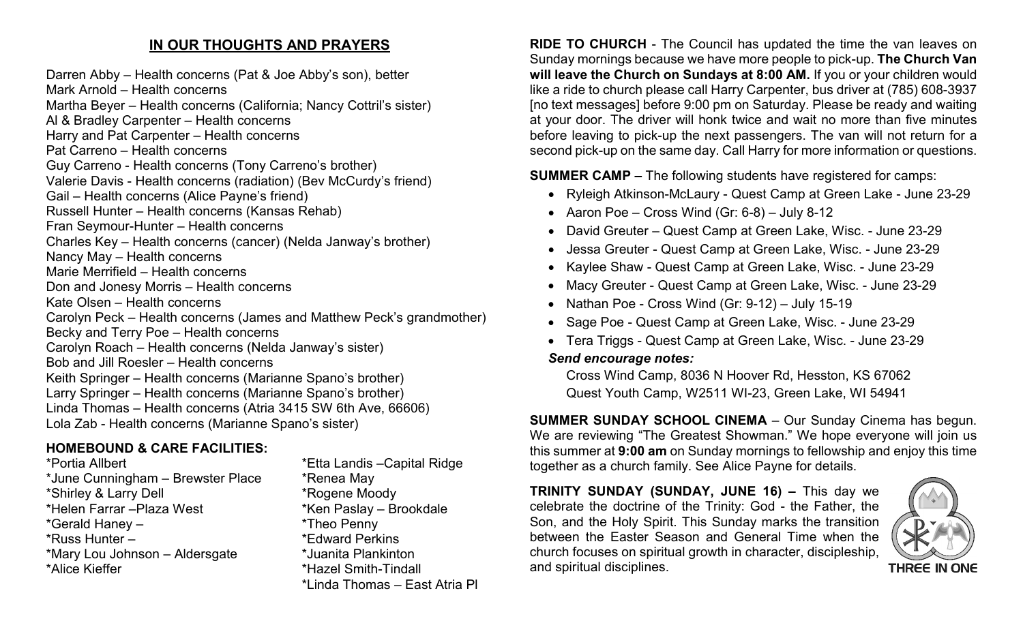# **IN OUR THOUGHTS AND PRAYERS**

Darren Abby – Health concerns (Pat & Joe Abby's son), better Mark Arnold – Health concerns Martha Beyer – Health concerns (California; Nancy Cottril's sister) Al & Bradley Carpenter – Health concerns Harry and Pat Carpenter – Health concerns Pat Carreno – Health concerns Guy Carreno - Health concerns (Tony Carreno's brother) Valerie Davis - Health concerns (radiation) (Bev McCurdy's friend) Gail – Health concerns (Alice Payne's friend) Russell Hunter – Health concerns (Kansas Rehab) Fran Seymour-Hunter – Health concerns Charles Key – Health concerns (cancer) (Nelda Janway's brother) Nancy May – Health concerns Marie Merrifield – Health concerns Don and Jonesy Morris – Health concerns Kate Olsen – Health concerns Carolyn Peck – Health concerns (James and Matthew Peck's grandmother) Becky and Terry Poe – Health concerns Carolyn Roach – Health concerns (Nelda Janway's sister) Bob and Jill Roesler – Health concerns Keith Springer – Health concerns (Marianne Spano's brother) Larry Springer – Health concerns (Marianne Spano's brother) Linda Thomas – Health concerns (Atria 3415 SW 6th Ave, 66606) Lola Zab - Health concerns (Marianne Spano's sister)

# **HOMEBOUND & CARE FACILITIES:**

\*Portia Allbert \*Etta Landis –Capital Ridge \*June Cunningham – Brewster Place \* \* Renea May \*Shirley & Larry Dell \*Rogene Moody \*Helen Farrar – Plaza West \*Ken Paslay – Brookdale \*Gerald Haney – \*Theo Penny \*Russ Hunter – \* \*Edward Perkins \*Mary Lou Johnson – Aldersgate \*Juanita Plankinton \*Alice Kieffer \*Hazel Smith-Tindall

\*Linda Thomas – East Atria Pl

**RIDE TO CHURCH** - The Council has updated the time the van leaves on Sunday mornings because we have more people to pick-up. **The Church Van will leave the Church on Sundays at 8:00 AM.** If you or your children would like a ride to church please call Harry Carpenter, bus driver at (785) 608-3937 [no text messages] before 9:00 pm on Saturday. Please be ready and waiting at your door. The driver will honk twice and wait no more than five minutes before leaving to pick-up the next passengers. The van will not return for a second pick-up on the same day. Call Harry for more information or questions.

**SUMMER CAMP –** The following students have registered for camps:

- Ryleigh Atkinson-McLaury Quest Camp at Green Lake June 23-29
- Aaron Poe Cross Wind  $(Gr: 6-8)$  July 8-12
- David Greuter Quest Camp at Green Lake, Wisc. June 23-29
- Jessa Greuter Quest Camp at Green Lake, Wisc. June 23-29
- Kaylee Shaw Quest Camp at Green Lake, Wisc. June 23-29
- Macy Greuter Quest Camp at Green Lake, Wisc. June 23-29
- Nathan Poe Cross Wind (Gr: 9-12) July 15-19
- Sage Poe Quest Camp at Green Lake, Wisc. June 23-29
- Tera Triggs Quest Camp at Green Lake, Wisc. June 23-29

#### *Send encourage notes:*

Cross Wind Camp, 8036 N Hoover Rd, Hesston, KS 67062 Quest Youth Camp, W2511 WI-23, Green Lake, WI 54941

**SUMMER SUNDAY SCHOOL CINEMA** – Our Sunday Cinema has begun. We are reviewing "The Greatest Showman." We hope everyone will join us this summer at **9:00 am** on Sunday mornings to fellowship and enjoy this time together as a church family. See Alice Payne for details.

**TRINITY SUNDAY (SUNDAY, JUNE 16) –** This day we celebrate the doctrine of the Trinity: God - the Father, the Son, and the Holy Spirit. This Sunday marks the transition between the Easter Season and General Time when the church focuses on spiritual growth in character, discipleship, and spiritual disciplines.